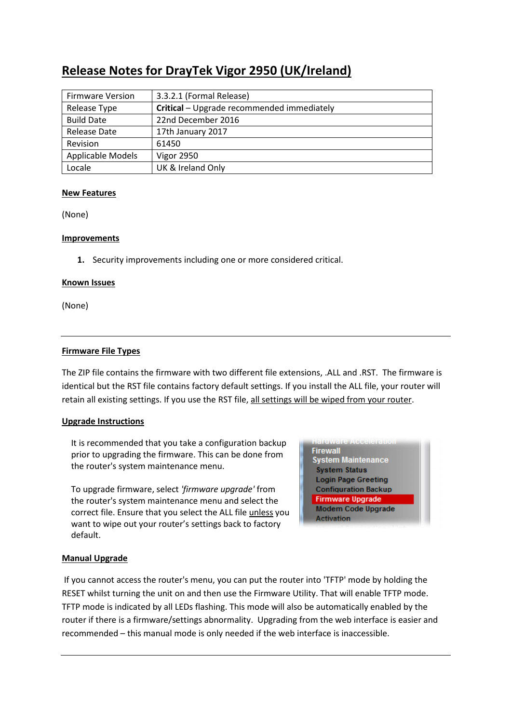# **Release Notes for DrayTek Vigor 2950 (UK/Ireland)**

| <b>Firmware Version</b> | 3.3.2.1 (Formal Release)                   |
|-------------------------|--------------------------------------------|
| Release Type            | Critical - Upgrade recommended immediately |
| <b>Build Date</b>       | 22nd December 2016                         |
| Release Date            | 17th January 2017                          |
| Revision                | 61450                                      |
| Applicable Models       | <b>Vigor 2950</b>                          |
| Locale                  | UK & Ireland Only                          |

### **New Features**

(None)

### **Improvements**

**1.** Security improvements including one or more considered critical.

#### **Known Issues**

(None)

### **Firmware File Types**

The ZIP file contains the firmware with two different file extensions, .ALL and .RST. The firmware is identical but the RST file contains factory default settings. If you install the ALL file, your router will retain all existing settings. If you use the RST file, all settings will be wiped from your router.

### **Upgrade Instructions**

It is recommended that you take a configuration backup prior to upgrading the firmware. This can be done from the router's system maintenance menu.

To upgrade firmware, select *'firmware upgrade'* from the router's system maintenance menu and select the correct file. Ensure that you select the ALL file unless you want to wipe out your router's settings back to factory default.

**Firewall System Maintenance System Status Login Page Greeting Configuration Backup Firmware Upgrade Modem Code Upgrade Activation** 

### **Manual Upgrade**

 If you cannot access the router's menu, you can put the router into 'TFTP' mode by holding the RESET whilst turning the unit on and then use the Firmware Utility. That will enable TFTP mode. TFTP mode is indicated by all LEDs flashing. This mode will also be automatically enabled by the router if there is a firmware/settings abnormality. Upgrading from the web interface is easier and recommended – this manual mode is only needed if the web interface is inaccessible.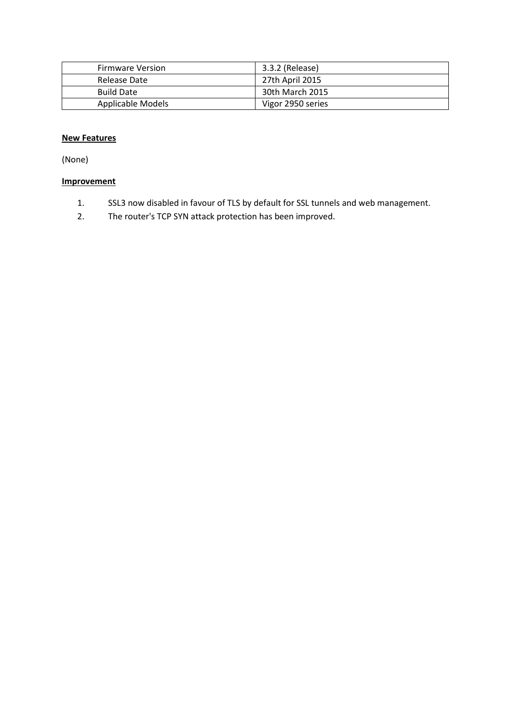| <b>Firmware Version</b> | 3.3.2 (Release)   |
|-------------------------|-------------------|
| Release Date            | 27th April 2015   |
| <b>Build Date</b>       | 30th March 2015   |
| Applicable Models       | Vigor 2950 series |

(None)

- 1. SSL3 now disabled in favour of TLS by default for SSL tunnels and web management.
- 2. The router's TCP SYN attack protection has been improved.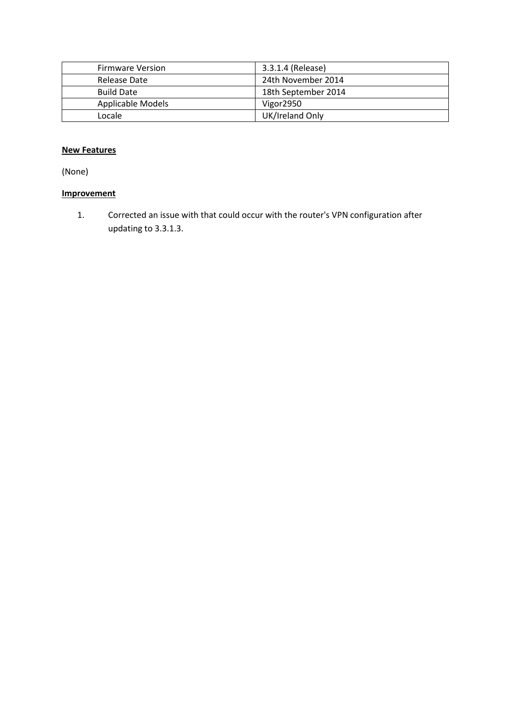| <b>Firmware Version</b> | 3.3.1.4 (Release)   |
|-------------------------|---------------------|
| Release Date            | 24th November 2014  |
| <b>Build Date</b>       | 18th September 2014 |
| Applicable Models       | Vigor2950           |
| Locale                  | UK/Ireland Only     |

(None)

# **Improvement**

1. Corrected an issue with that could occur with the router's VPN configuration after updating to 3.3.1.3.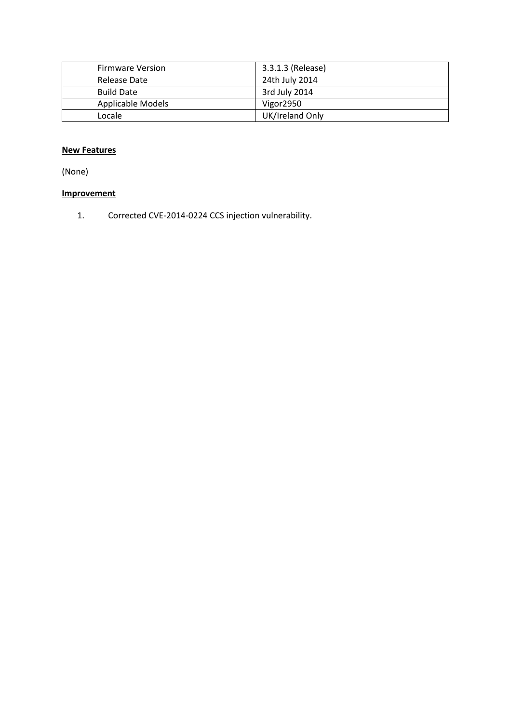| <b>Firmware Version</b> | 3.3.1.3 (Release) |
|-------------------------|-------------------|
| Release Date            | 24th July 2014    |
| <b>Build Date</b>       | 3rd July 2014     |
| Applicable Models       | Vigor2950         |
| Locale                  | UK/Ireland Only   |

(None)

# **Improvement**

1. Corrected CVE-2014-0224 CCS injection vulnerability.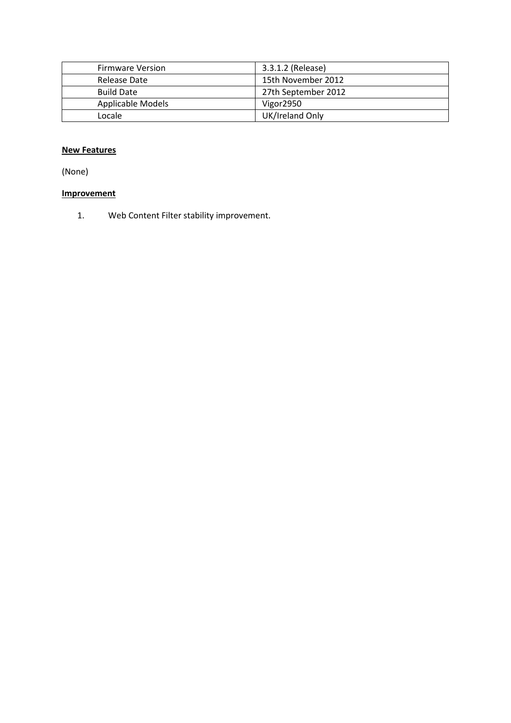| <b>Firmware Version</b> | 3.3.1.2 (Release)   |
|-------------------------|---------------------|
| Release Date            | 15th November 2012  |
| <b>Build Date</b>       | 27th September 2012 |
| Applicable Models       | Vigor2950           |
| Locale                  | UK/Ireland Only     |

(None)

# **Improvement**

1. Web Content Filter stability improvement.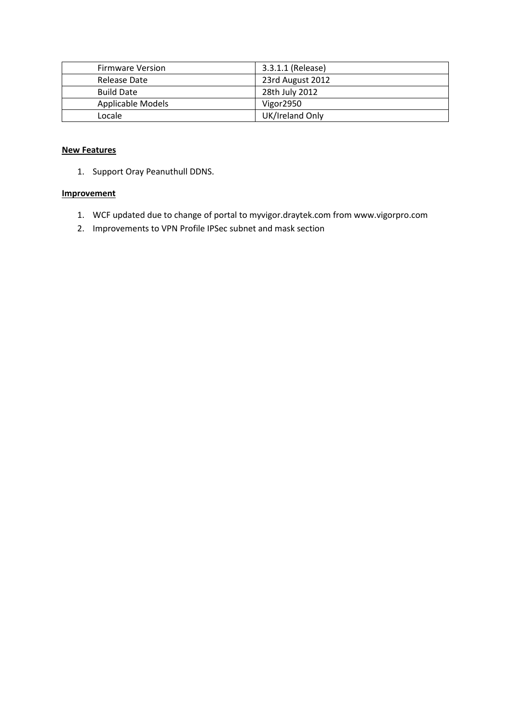| <b>Firmware Version</b> | 3.3.1.1 (Release)     |
|-------------------------|-----------------------|
| Release Date            | 23rd August 2012      |
| <b>Build Date</b>       | 28th July 2012        |
| Applicable Models       | Vigor <sub>2950</sub> |
| Locale                  | UK/Ireland Only       |

1. Support Oray Peanuthull DDNS.

- 1. WCF updated due to change of portal to myvigor.draytek.com from www.vigorpro.com
- 2. Improvements to VPN Profile IPSec subnet and mask section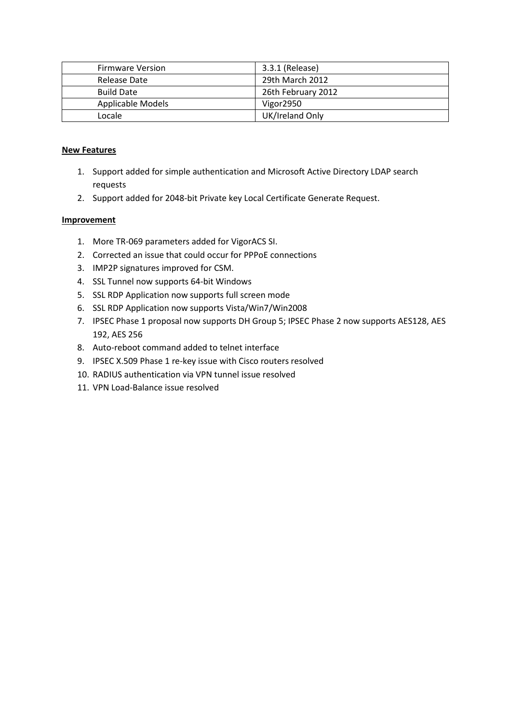| <b>Firmware Version</b> | 3.3.1 (Release)    |
|-------------------------|--------------------|
| Release Date            | 29th March 2012    |
| <b>Build Date</b>       | 26th February 2012 |
| Applicable Models       | Vigor2950          |
| Locale                  | UK/Ireland Only    |

- 1. Support added for simple authentication and Microsoft Active Directory LDAP search requests
- 2. Support added for 2048-bit Private key Local Certificate Generate Request.

- 1. More TR-069 parameters added for VigorACS SI.
- 2. Corrected an issue that could occur for PPPoE connections
- 3. IMP2P signatures improved for CSM.
- 4. SSL Tunnel now supports 64-bit Windows
- 5. SSL RDP Application now supports full screen mode
- 6. SSL RDP Application now supports Vista/Win7/Win2008
- 7. IPSEC Phase 1 proposal now supports DH Group 5; IPSEC Phase 2 now supports AES128, AES 192, AES 256
- 8. Auto-reboot command added to telnet interface
- 9. IPSEC X.509 Phase 1 re-key issue with Cisco routers resolved
- 10. RADIUS authentication via VPN tunnel issue resolved
- 11. VPN Load-Balance issue resolved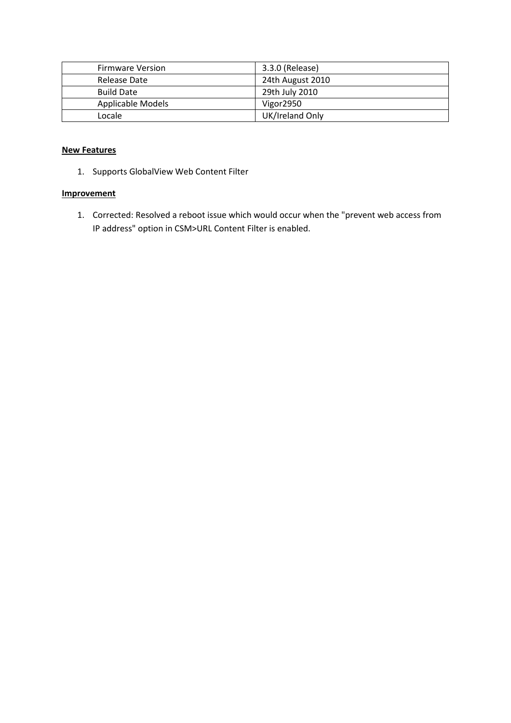| <b>Firmware Version</b> | 3.3.0 (Release)  |
|-------------------------|------------------|
| Release Date            | 24th August 2010 |
| <b>Build Date</b>       | 29th July 2010   |
| Applicable Models       | Vigor2950        |
| Locale                  | UK/Ireland Only  |

1. Supports GlobalView Web Content Filter

### **Improvement**

1. Corrected: Resolved a reboot issue which would occur when the "prevent web access from IP address" option in CSM>URL Content Filter is enabled.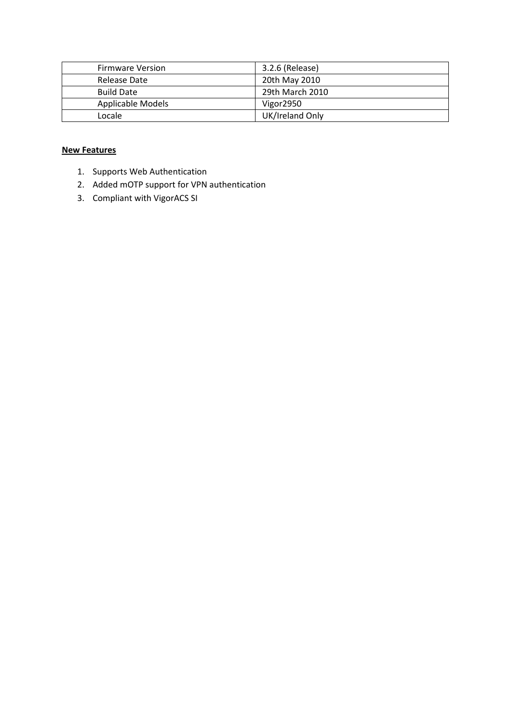| <b>Firmware Version</b> | 3.2.6 (Release) |
|-------------------------|-----------------|
| Release Date            | 20th May 2010   |
| <b>Build Date</b>       | 29th March 2010 |
| Applicable Models       | Vigor2950       |
| Locale                  | UK/Ireland Only |

- 1. Supports Web Authentication
- 2. Added mOTP support for VPN authentication
- 3. Compliant with VigorACS SI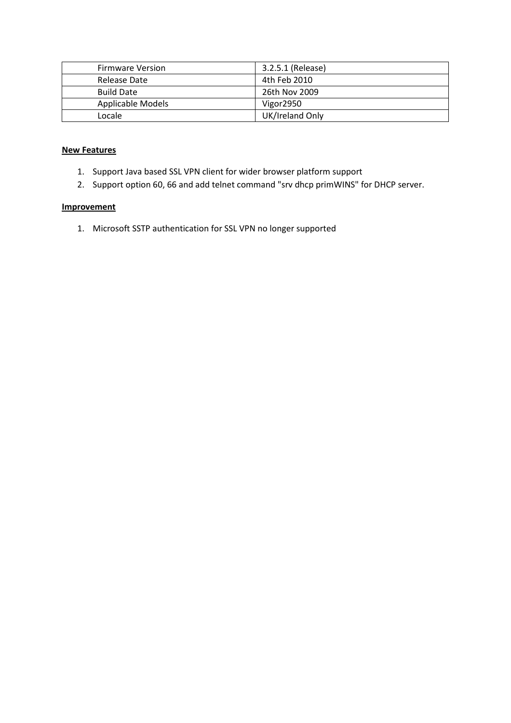| <b>Firmware Version</b> | 3.2.5.1 (Release) |
|-------------------------|-------------------|
| Release Date            | 4th Feb 2010      |
| <b>Build Date</b>       | 26th Nov 2009     |
| Applicable Models       | Vigor2950         |
| Locale                  | UK/Ireland Only   |

- 1. Support Java based SSL VPN client for wider browser platform support
- 2. Support option 60, 66 and add telnet command "srv dhcp primWINS" for DHCP server.

#### **Improvement**

1. Microsoft SSTP authentication for SSL VPN no longer supported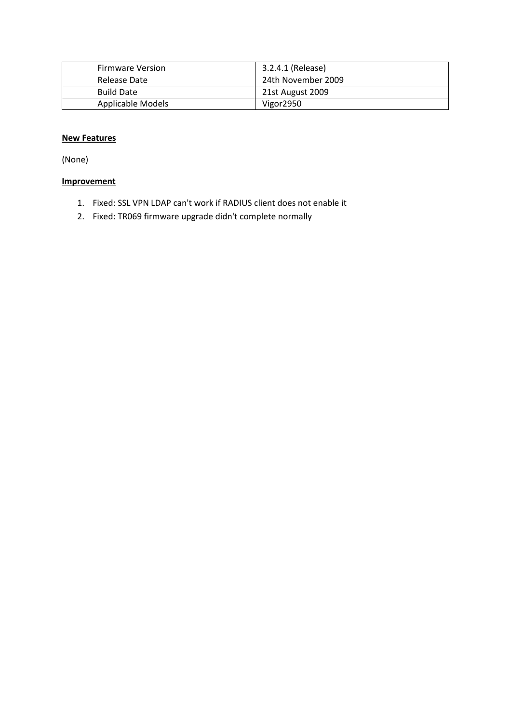| <b>Firmware Version</b> | 3.2.4.1 (Release)  |
|-------------------------|--------------------|
| Release Date            | 24th November 2009 |
| <b>Build Date</b>       | 21st August 2009   |
| Applicable Models       | Vigor2950          |

(None)

- 1. Fixed: SSL VPN LDAP can't work if RADIUS client does not enable it
- 2. Fixed: TR069 firmware upgrade didn't complete normally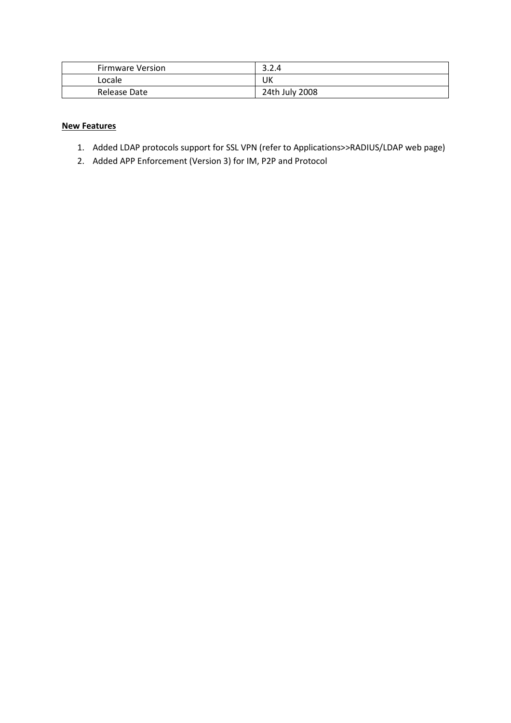| <b>Firmware Version</b> | າ າ<br>3.2.4   |
|-------------------------|----------------|
| Locale                  | UK             |
| Release Date            | 24th July 2008 |

- 1. Added LDAP protocols support for SSL VPN (refer to Applications>>RADIUS/LDAP web page)
- 2. Added APP Enforcement (Version 3) for IM, P2P and Protocol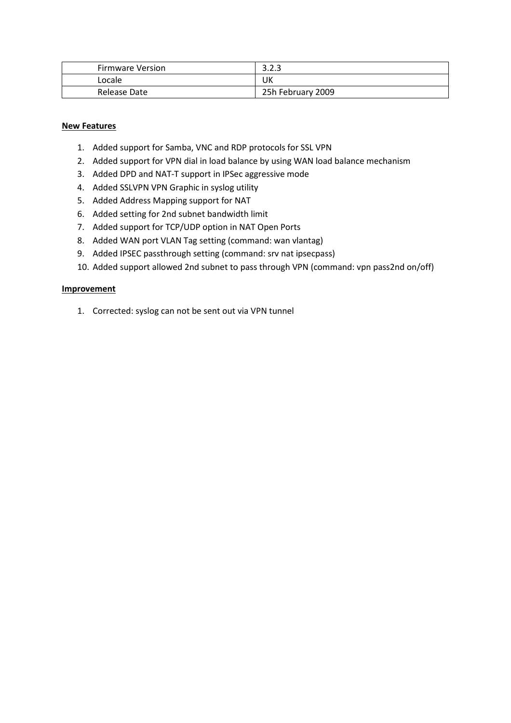| <b>Firmware Version</b> | າ າ າ<br>ں ب      |
|-------------------------|-------------------|
| Locale                  | UK                |
| Release Date            | 25h February 2009 |

- 1. Added support for Samba, VNC and RDP protocols for SSL VPN
- 2. Added support for VPN dial in load balance by using WAN load balance mechanism
- 3. Added DPD and NAT-T support in IPSec aggressive mode
- 4. Added SSLVPN VPN Graphic in syslog utility
- 5. Added Address Mapping support for NAT
- 6. Added setting for 2nd subnet bandwidth limit
- 7. Added support for TCP/UDP option in NAT Open Ports
- 8. Added WAN port VLAN Tag setting (command: wan vlantag)
- 9. Added IPSEC passthrough setting (command: srv nat ipsecpass)
- 10. Added support allowed 2nd subnet to pass through VPN (command: vpn pass2nd on/off)

#### **Improvement**

1. Corrected: syslog can not be sent out via VPN tunnel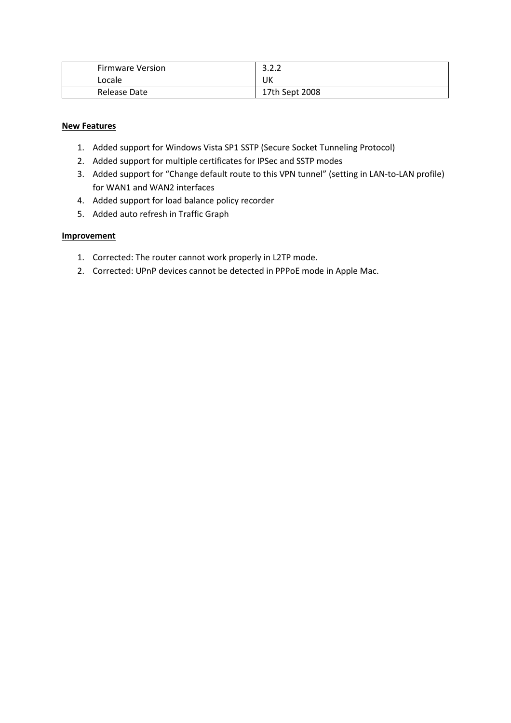| Firmware Version | ຳ າ າ<br>J.L.L |
|------------------|----------------|
| Locale           | UK             |
| Release Date     | 17th Sept 2008 |

- 1. Added support for Windows Vista SP1 SSTP (Secure Socket Tunneling Protocol)
- 2. Added support for multiple certificates for IPSec and SSTP modes
- 3. Added support for "Change default route to this VPN tunnel" (setting in LAN-to-LAN profile) for WAN1 and WAN2 interfaces
- 4. Added support for load balance policy recorder
- 5. Added auto refresh in Traffic Graph

- 1. Corrected: The router cannot work properly in L2TP mode.
- 2. Corrected: UPnP devices cannot be detected in PPPoE mode in Apple Mac.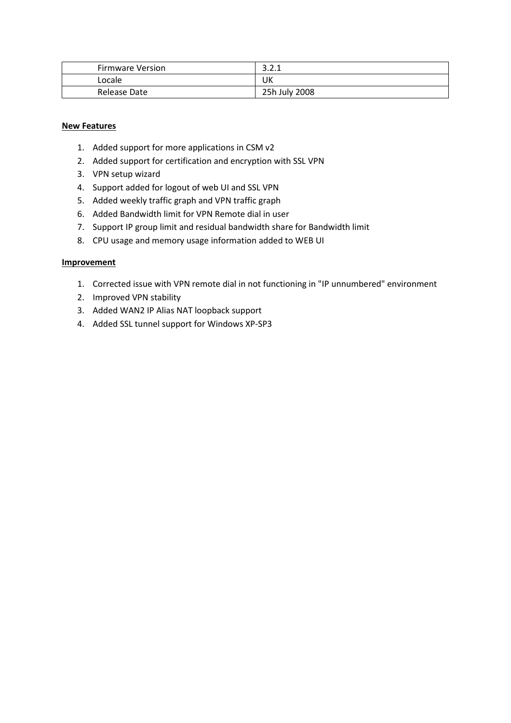| Firmware Version | า า ง<br>.    |
|------------------|---------------|
| Locale           | UK            |
| Release Date     | 25h July 2008 |

- 1. Added support for more applications in CSM v2
- 2. Added support for certification and encryption with SSL VPN
- 3. VPN setup wizard
- 4. Support added for logout of web UI and SSL VPN
- 5. Added weekly traffic graph and VPN traffic graph
- 6. Added Bandwidth limit for VPN Remote dial in user
- 7. Support IP group limit and residual bandwidth share for Bandwidth limit
- 8. CPU usage and memory usage information added to WEB UI

- 1. Corrected issue with VPN remote dial in not functioning in "IP unnumbered" environment
- 2. Improved VPN stability
- 3. Added WAN2 IP Alias NAT loopback support
- 4. Added SSL tunnel support for Windows XP-SP3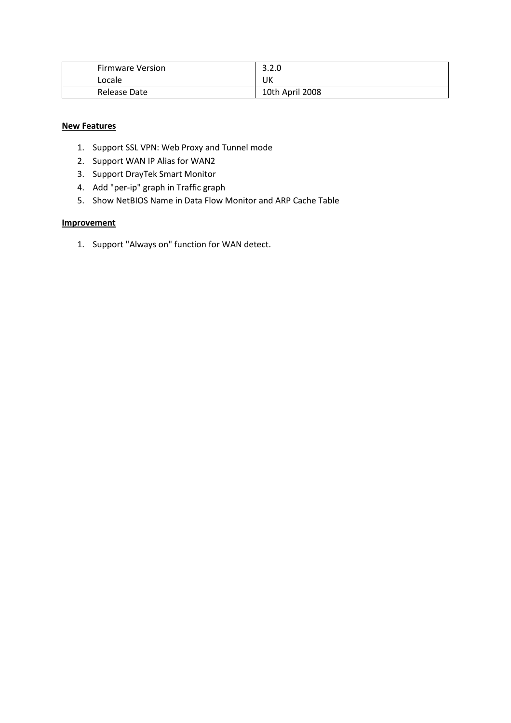| <b>Firmware Version</b> | າ າ ດ<br>3.Z.U  |
|-------------------------|-----------------|
| Locale                  | UK              |
| Release Date            | 10th April 2008 |

- 1. Support SSL VPN: Web Proxy and Tunnel mode
- 2. Support WAN IP Alias for WAN2
- 3. Support DrayTek Smart Monitor
- 4. Add "per-ip" graph in Traffic graph
- 5. Show NetBIOS Name in Data Flow Monitor and ARP Cache Table

### **Improvement**

1. Support "Always on" function for WAN detect.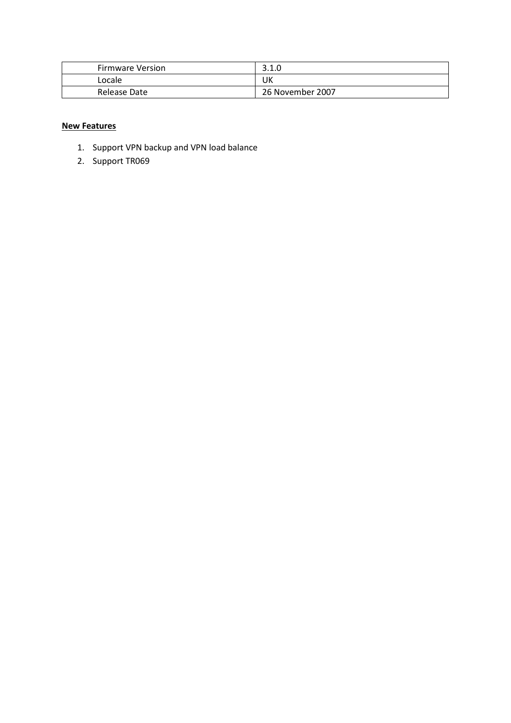| <b>Firmware Version</b> | າ 1 ∩<br>ں.⊥.ں   |
|-------------------------|------------------|
| Locale                  | UK               |
| Release Date            | 26 November 2007 |

- 1. Support VPN backup and VPN load balance
- 2. Support TR069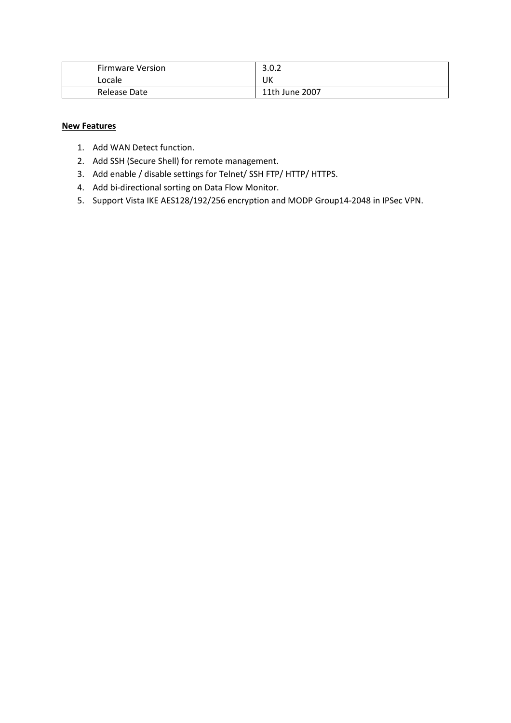| <b>Firmware Version</b> | റി<br>3.U.Z    |
|-------------------------|----------------|
| Locale                  | UK             |
| Release Date            | 11th June 2007 |

- 1. Add WAN Detect function.
- 2. Add SSH (Secure Shell) for remote management.
- 3. Add enable / disable settings for Telnet/ SSH FTP/ HTTP/ HTTPS.
- 4. Add bi-directional sorting on Data Flow Monitor.
- 5. Support Vista IKE AES128/192/256 encryption and MODP Group14-2048 in IPSec VPN.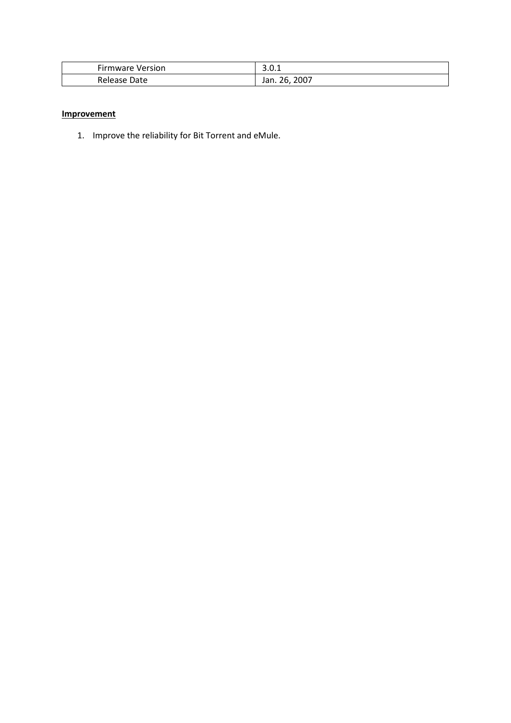| <b>Firmware Version</b> | $\sim$<br>J.V.I        |
|-------------------------|------------------------|
| Release<br>Date         | 2007<br>26<br>Jan. 26, |

### **Improvement**

1. Improve the reliability for Bit Torrent and eMule.